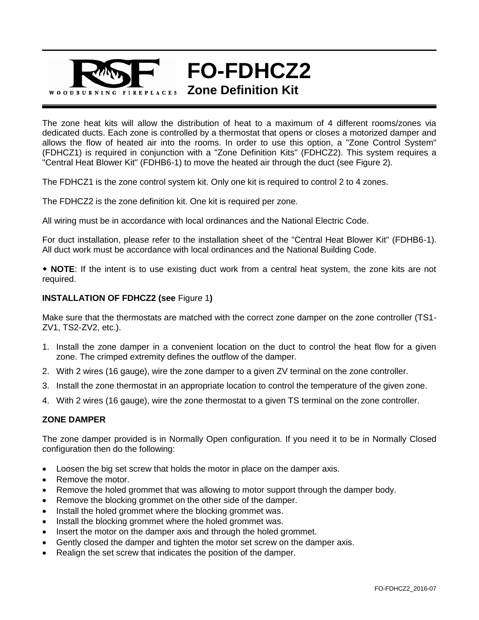

The zone heat kits will allow the distribution of heat to a maximum of 4 different rooms/zones via dedicated ducts. Each zone is controlled by a thermostat that opens or closes a motorized damper and allows the flow of heated air into the rooms. In order to use this option, a "Zone Control System" (FDHCZ1) is required in conjunction with a "Zone Definition Kits" (FDHCZ2). This system requires a "Central Heat Blower Kit" (FDHB6-1) to move the heated air through the duct (see Figure 2).

The FDHCZ1 is the zone control system kit. Only one kit is required to control 2 to 4 zones.

The FDHCZ2 is the zone definition kit. One kit is required per zone.

All wiring must be in accordance with local ordinances and the National Electric Code.

For duct installation, please refer to the installation sheet of the "Central Heat Blower Kit" (FDHB6-1). All duct work must be accordance with local ordinances and the National Building Code.

 **NOTE**: If the intent is to use existing duct work from a central heat system, the zone kits are not required.

## **INSTALLATION OF FDHCZ2 (see** Figure 1**)**

Make sure that the thermostats are matched with the correct zone damper on the zone controller (TS1- ZV1, TS2-ZV2, etc.).

- 1. Install the zone damper in a convenient location on the duct to control the heat flow for a given zone. The crimped extremity defines the outflow of the damper.
- 2. With 2 wires (16 gauge), wire the zone damper to a given ZV terminal on the zone controller.
- 3. Install the zone thermostat in an appropriate location to control the temperature of the given zone.
- 4. With 2 wires (16 gauge), wire the zone thermostat to a given TS terminal on the zone controller.

## **ZONE DAMPER**

The zone damper provided is in Normally Open configuration. If you need it to be in Normally Closed configuration then do the following:

- Loosen the big set screw that holds the motor in place on the damper axis.
- Remove the motor.
- Remove the holed grommet that was allowing to motor support through the damper body.
- Remove the blocking grommet on the other side of the damper.
- Install the holed grommet where the blocking grommet was.
- Install the blocking grommet where the holed grommet was.
- Insert the motor on the damper axis and through the holed grommet.
- Gently closed the damper and tighten the motor set screw on the damper axis.
- Realign the set screw that indicates the position of the damper.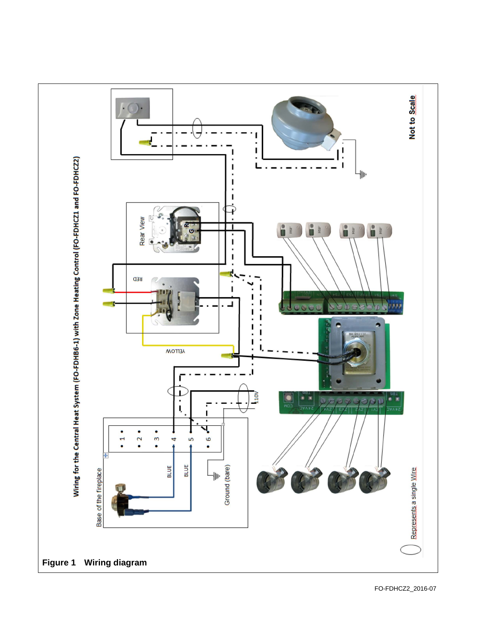